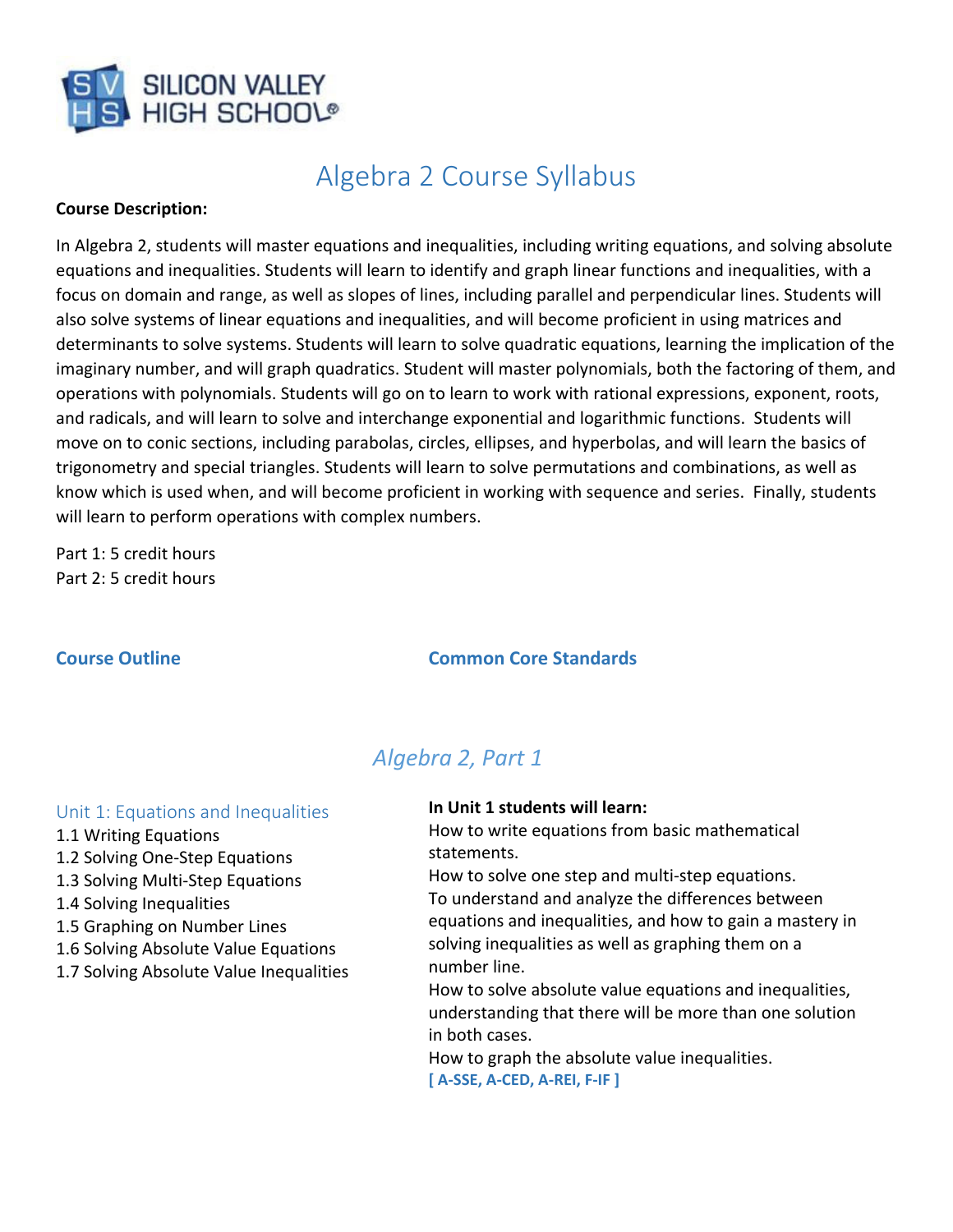

# Algebra 2 Course Syllabus

#### **Course Description:**

In Algebra 2, students will master equations and inequalities, including writing equations, and solving absolute equations and inequalities. Students will learn to identify and graph linear functions and inequalities, with a focus on domain and range, as well as slopes of lines, including parallel and perpendicular lines. Students will also solve systems of linear equations and inequalities, and will become proficient in using matrices and determinants to solve systems. Students will learn to solve quadratic equations, learning the implication of the imaginary number, and will graph quadratics. Student will master polynomials, both the factoring of them, and operations with polynomials. Students will go on to learn to work with rational expressions, exponent, roots, and radicals, and will learn to solve and interchange exponential and logarithmic functions. Students will move on to conic sections, including parabolas, circles, ellipses, and hyperbolas, and will learn the basics of trigonometry and special triangles. Students will learn to solve permutations and combinations, as well as know which is used when, and will become proficient in working with sequence and series. Finally, students will learn to perform operations with complex numbers.

Part 1: 5 credit hours Part 2: 5 credit hours

#### **Course Outline Common Core Standards**

## *Algebra 2, Part 1*

#### Unit 1: Equations and Inequalities

- 1.1 Writing Equations
- 1.2 Solving One‐Step Equations
- 1.3 Solving Multi‐Step Equations
- 1.4 Solving Inequalities
- 1.5 Graphing on Number Lines
- 1.6 Solving Absolute Value Equations
- 1.7 Solving Absolute Value Inequalities

#### **In Unit 1 students will learn:**

How to write equations from basic mathematical statements.

How to solve one step and multi‐step equations. To understand and analyze the differences between equations and inequalities, and how to gain a mastery in solving inequalities as well as graphing them on a number line.

How to solve absolute value equations and inequalities, understanding that there will be more than one solution in both cases.

How to graph the absolute value inequalities. **[ A‐SSE, A‐CED, A‐REI, F‐IF ]**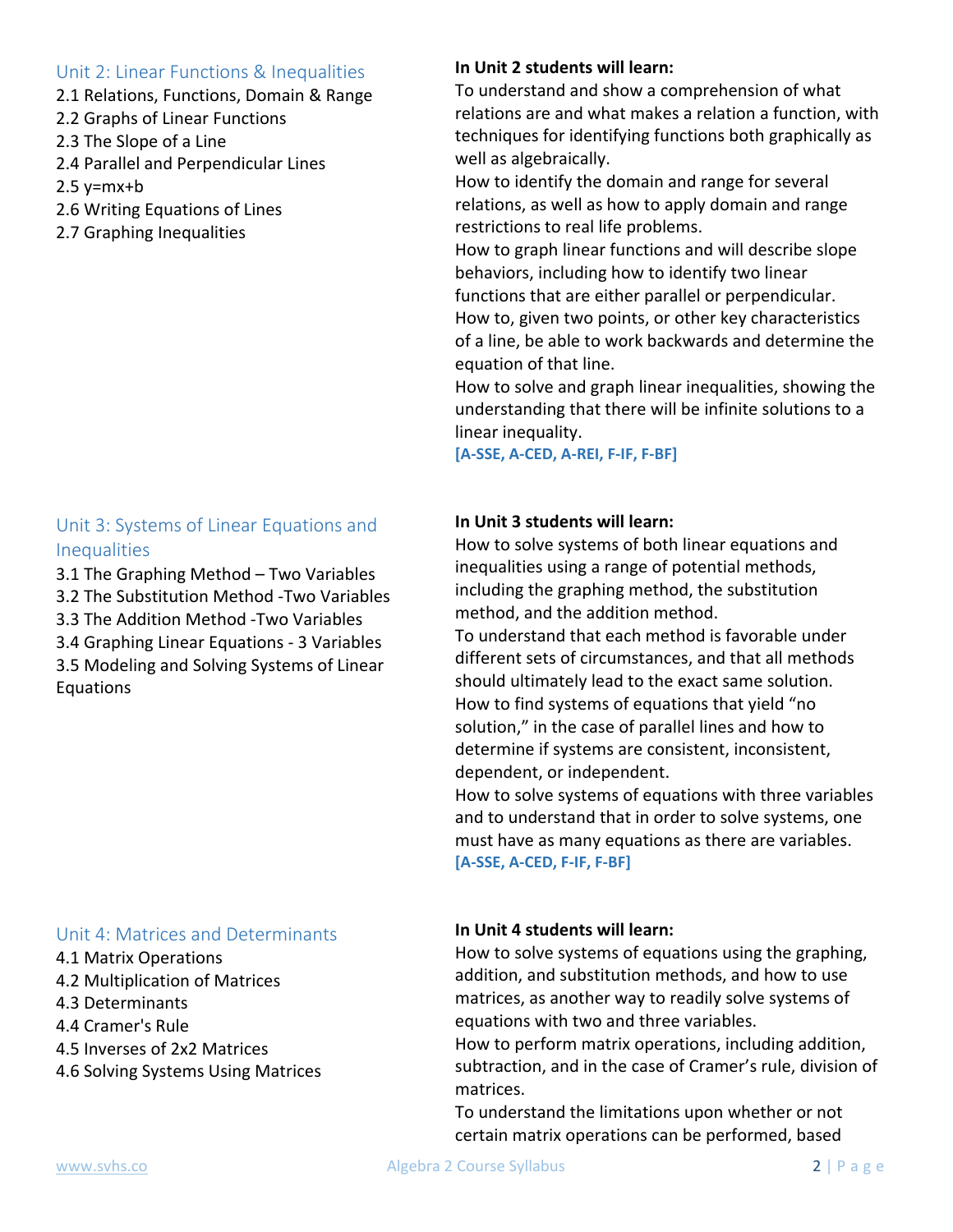#### Unit 2: Linear Functions & Inequalities

- 2.1 Relations, Functions, Domain & Range
- 2.2 Graphs of Linear Functions
- 2.3 The Slope of a Line
- 2.4 Parallel and Perpendicular Lines
- $2.5$  y=mx+b
- 2.6 Writing Equations of Lines
- 2.7 Graphing Inequalities

### Unit 3: Systems of Linear Equations and **Inequalities**

3.1 The Graphing Method – Two Variables

3.2 The Substitution Method ‐Two Variables

3.3 The Addition Method ‐Two Variables

3.4 Graphing Linear Equations ‐ 3 Variables

3.5 Modeling and Solving Systems of Linear Equations

#### Unit 4: Matrices and Determinants

- 4.1 Matrix Operations
- 4.2 Multiplication of Matrices
- 4.3 Determinants
- 4.4 Cramer's Rule
- 4.5 Inverses of 2x2 Matrices
- 4.6 Solving Systems Using Matrices

#### **In Unit 2 students will learn:**

To understand and show a comprehension of what relations are and what makes a relation a function, with techniques for identifying functions both graphically as well as algebraically.

How to identify the domain and range for several relations, as well as how to apply domain and range restrictions to real life problems.

How to graph linear functions and will describe slope behaviors, including how to identify two linear functions that are either parallel or perpendicular. How to, given two points, or other key characteristics of a line, be able to work backwards and determine the equation of that line.

How to solve and graph linear inequalities, showing the understanding that there will be infinite solutions to a linear inequality.

**[A‐SSE, A‐CED, A‐REI, F‐IF, F‐BF]**

#### **In Unit 3 students will learn:**

How to solve systems of both linear equations and inequalities using a range of potential methods, including the graphing method, the substitution method, and the addition method.

To understand that each method is favorable under different sets of circumstances, and that all methods should ultimately lead to the exact same solution. How to find systems of equations that yield "no solution," in the case of parallel lines and how to determine if systems are consistent, inconsistent, dependent, or independent.

How to solve systems of equations with three variables and to understand that in order to solve systems, one must have as many equations as there are variables. **[A‐SSE, A‐CED, F‐IF, F‐BF]**

#### **In Unit 4 students will learn:**

How to solve systems of equations using the graphing, addition, and substitution methods, and how to use matrices, as another way to readily solve systems of equations with two and three variables.

How to perform matrix operations, including addition, subtraction, and in the case of Cramer's rule, division of matrices.

To understand the limitations upon whether or not certain matrix operations can be performed, based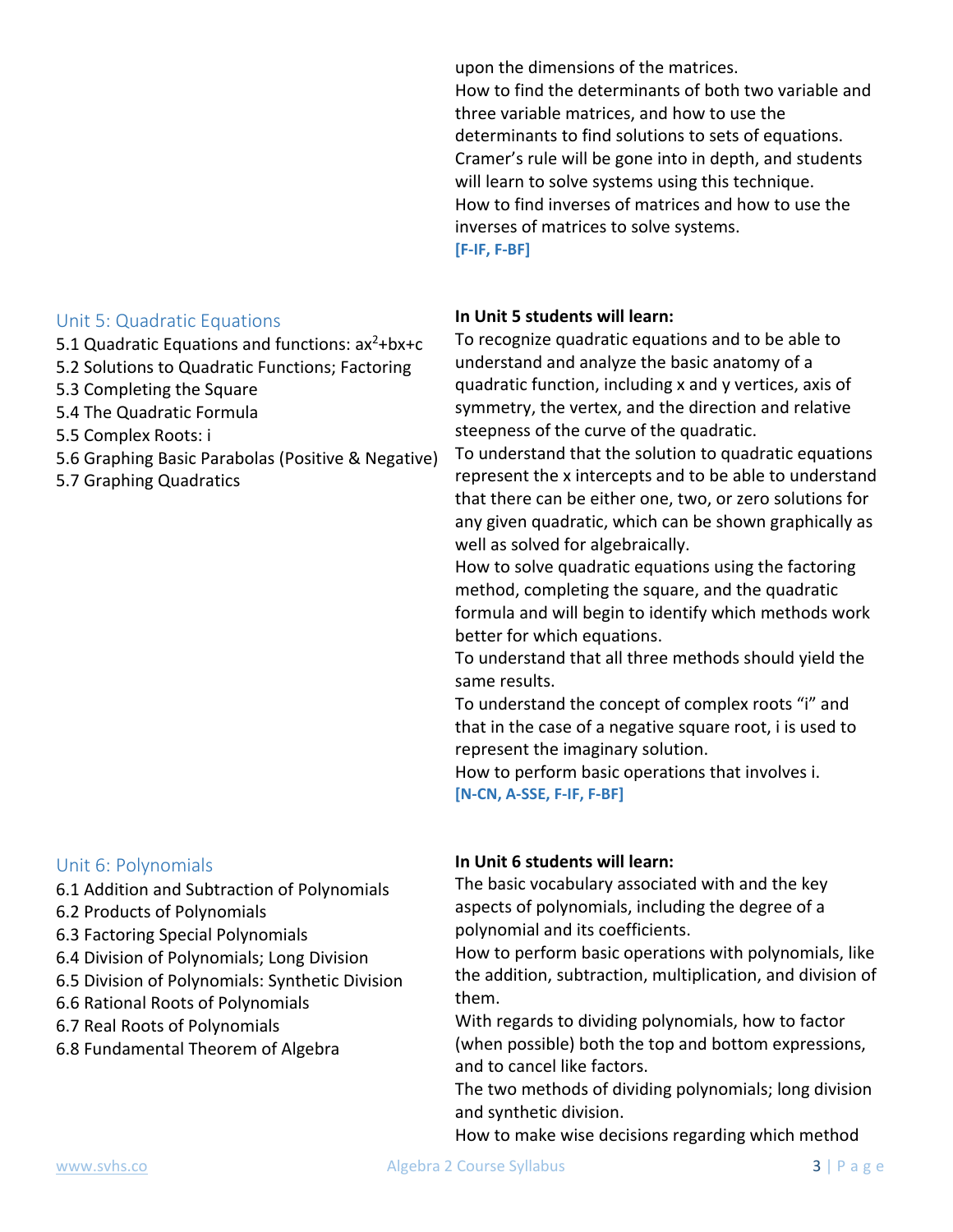Unit 5: Quadratic Equations

- 5.1 Quadratic Equations and functions:  $ax^2 + bx + c$
- 5.2 Solutions to Quadratic Functions; Factoring
- 5.3 Completing the Square
- 5.4 The Quadratic Formula
- 5.5 Complex Roots: i
- 5.6 Graphing Basic Parabolas (Positive & Negative)
- 5.7 Graphing Quadratics

#### Unit 6: Polynomials

- 6.1 Addition and Subtraction of Polynomials
- 6.2 Products of Polynomials
- 6.3 Factoring Special Polynomials
- 6.4 Division of Polynomials; Long Division
- 6.5 Division of Polynomials: Synthetic Division
- 6.6 Rational Roots of Polynomials
- 6.7 Real Roots of Polynomials
- 6.8 Fundamental Theorem of Algebra

upon the dimensions of the matrices.

How to find the determinants of both two variable and three variable matrices, and how to use the determinants to find solutions to sets of equations. Cramer's rule will be gone into in depth, and students will learn to solve systems using this technique. How to find inverses of matrices and how to use the inverses of matrices to solve systems. **[F‐IF, F‐BF]**

### **In Unit 5 students will learn:**

To recognize quadratic equations and to be able to understand and analyze the basic anatomy of a quadratic function, including x and y vertices, axis of symmetry, the vertex, and the direction and relative steepness of the curve of the quadratic.

To understand that the solution to quadratic equations represent the x intercepts and to be able to understand that there can be either one, two, or zero solutions for any given quadratic, which can be shown graphically as well as solved for algebraically.

How to solve quadratic equations using the factoring method, completing the square, and the quadratic formula and will begin to identify which methods work better for which equations.

To understand that all three methods should yield the same results.

To understand the concept of complex roots "i" and that in the case of a negative square root, i is used to represent the imaginary solution.

How to perform basic operations that involves i. **[N‐CN, A‐SSE, F‐IF, F‐BF]**

#### **In Unit 6 students will learn:**

The basic vocabulary associated with and the key aspects of polynomials, including the degree of a polynomial and its coefficients.

How to perform basic operations with polynomials, like the addition, subtraction, multiplication, and division of them.

With regards to dividing polynomials, how to factor (when possible) both the top and bottom expressions, and to cancel like factors.

The two methods of dividing polynomials; long division and synthetic division.

How to make wise decisions regarding which method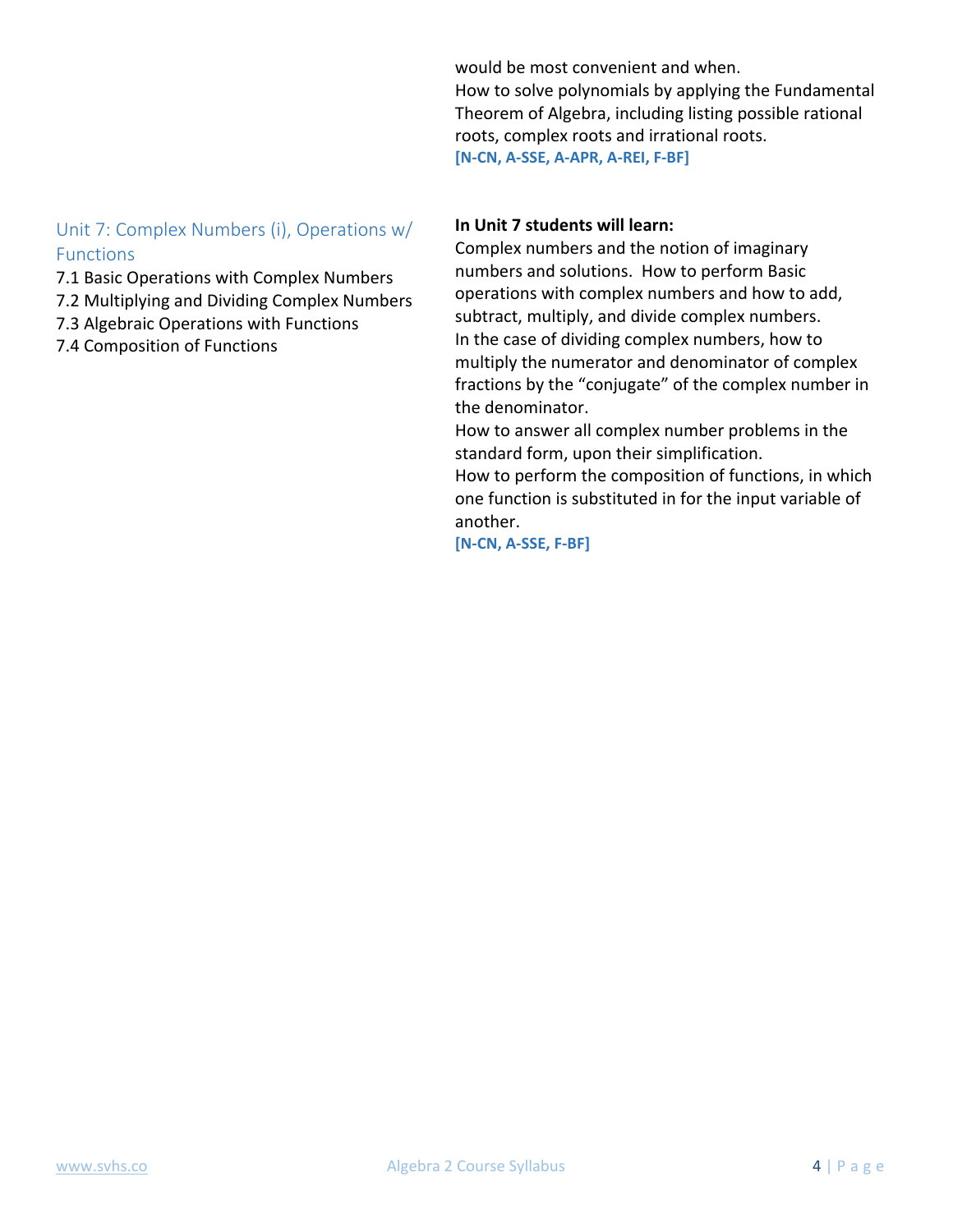would be most convenient and when.

How to solve polynomials by applying the Fundamental Theorem of Algebra, including listing possible rational roots, complex roots and irrational roots. **[N‐CN, A‐SSE, A‐APR, A‐REI, F‐BF]** 

#### Unit 7: Complex Numbers (i), Operations w/ Functions

- 7.1 Basic Operations with Complex Numbers
- 7.2 Multiplying and Dividing Complex Numbers
- 7.3 Algebraic Operations with Functions
- 7.4 Composition of Functions

#### **In Unit 7 students will learn:**

Complex numbers and the notion of imaginary numbers and solutions. How to perform Basic operations with complex numbers and how to add, subtract, multiply, and divide complex numbers. In the case of dividing complex numbers, how to multiply the numerator and denominator of complex fractions by the "conjugate" of the complex number in the denominator.

How to answer all complex number problems in the standard form, upon their simplification.

How to perform the composition of functions, in which one function is substituted in for the input variable of another.

**[N‐CN, A‐SSE, F‐BF]**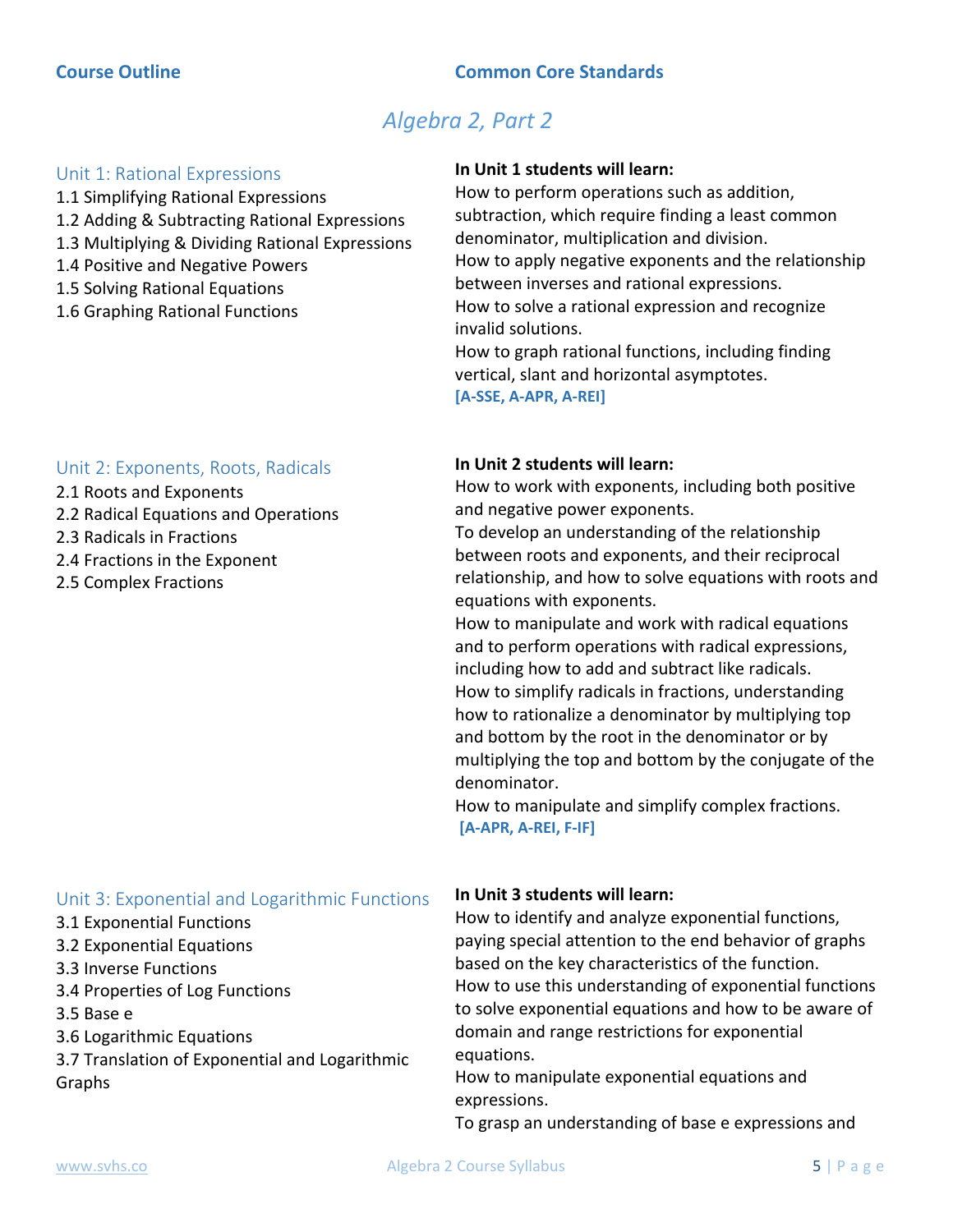## *Algebra 2, Part 2*

#### Unit 1: Rational Expressions

- 1.1 Simplifying Rational Expressions 1.2 Adding & Subtracting Rational Expressions
- 1.3 Multiplying & Dividing Rational Expressions
- 1.4 Positive and Negative Powers
- 1.5 Solving Rational Equations
- 1.6 Graphing Rational Functions

#### Unit 2: Exponents, Roots, Radicals

- 2.1 Roots and Exponents
- 2.2 Radical Equations and Operations
- 2.3 Radicals in Fractions
- 2.4 Fractions in the Exponent
- 2.5 Complex Fractions

## Unit 3: Exponential and Logarithmic Functions

- 3.1 Exponential Functions
- 3.2 Exponential Equations
- 3.3 Inverse Functions
- 3.4 Properties of Log Functions
- 3.5 Base e
- 3.6 Logarithmic Equations
- 3.7 Translation of Exponential and Logarithmic Graphs

#### **In Unit 1 students will learn:**

How to perform operations such as addition, subtraction, which require finding a least common denominator, multiplication and division. How to apply negative exponents and the relationship between inverses and rational expressions. How to solve a rational expression and recognize invalid solutions.

How to graph rational functions, including finding vertical, slant and horizontal asymptotes. **[A‐SSE, A‐APR, A‐REI]**

#### **In Unit 2 students will learn:**

How to work with exponents, including both positive and negative power exponents.

To develop an understanding of the relationship between roots and exponents, and their reciprocal relationship, and how to solve equations with roots and equations with exponents.

How to manipulate and work with radical equations and to perform operations with radical expressions, including how to add and subtract like radicals. How to simplify radicals in fractions, understanding how to rationalize a denominator by multiplying top and bottom by the root in the denominator or by multiplying the top and bottom by the conjugate of the denominator.

How to manipulate and simplify complex fractions. **[A‐APR, A‐REI, F‐IF]**

#### **In Unit 3 students will learn:**

How to identify and analyze exponential functions, paying special attention to the end behavior of graphs based on the key characteristics of the function. How to use this understanding of exponential functions to solve exponential equations and how to be aware of domain and range restrictions for exponential equations.

How to manipulate exponential equations and expressions.

To grasp an understanding of base e expressions and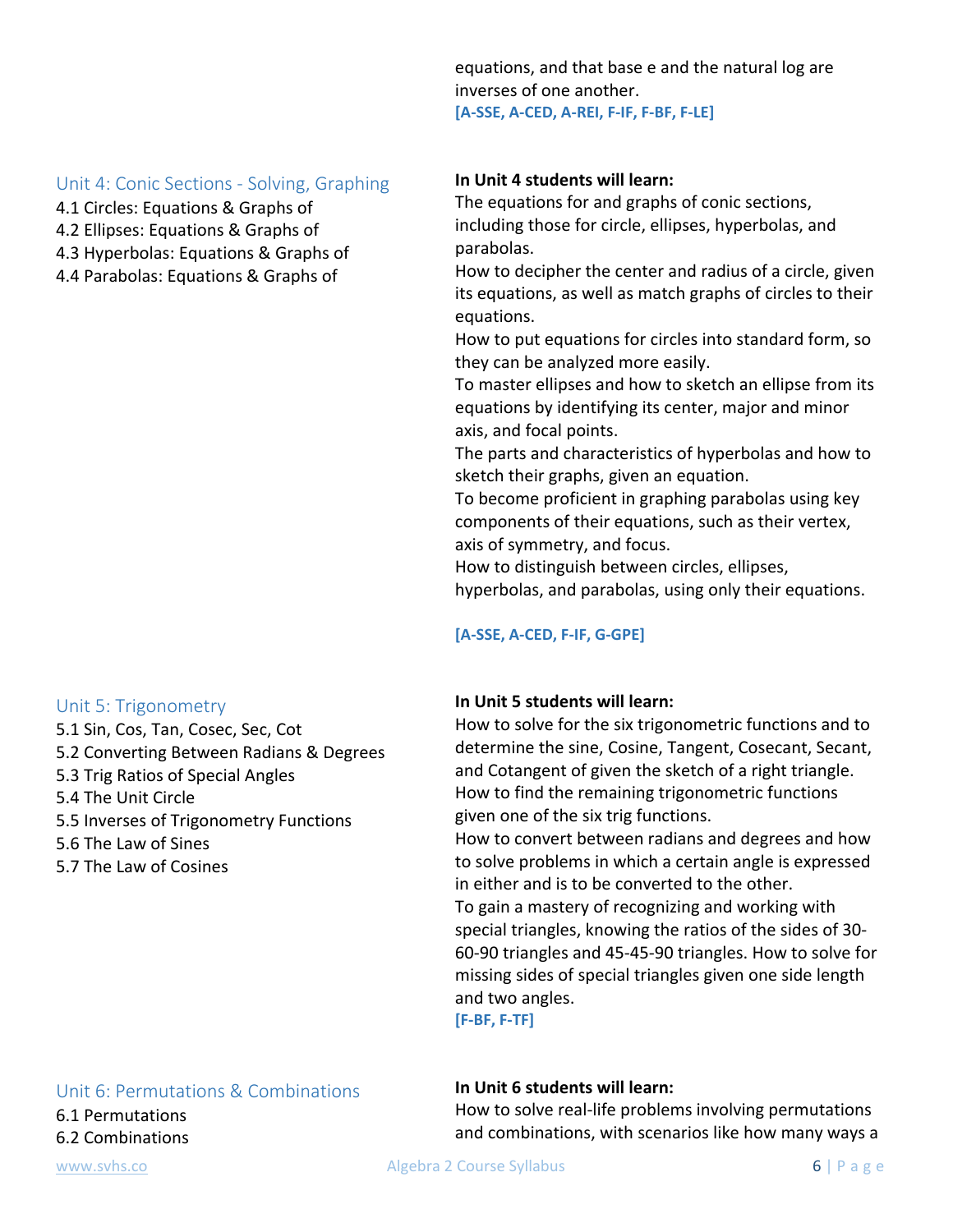equations, and that base e and the natural log are inverses of one another. **[A‐SSE, A‐CED, A‐REI, F‐IF, F‐BF, F‐LE]**

#### Unit 4: Conic Sections ‐ Solving, Graphing

- 4.1 Circles: Equations & Graphs of
- 4.2 Ellipses: Equations & Graphs of
- 4.3 Hyperbolas: Equations & Graphs of
- 4.4 Parabolas: Equations & Graphs of

#### Unit 5: Trigonometry

5.1 Sin, Cos, Tan, Cosec, Sec, Cot 5.2 Converting Between Radians & Degrees 5.3 Trig Ratios of Special Angles 5.4 The Unit Circle 5.5 Inverses of Trigonometry Functions 5.6 The Law of Sines 5.7 The Law of Cosines

#### **In Unit 4 students will learn:**

The equations for and graphs of conic sections, including those for circle, ellipses, hyperbolas, and parabolas.

How to decipher the center and radius of a circle, given its equations, as well as match graphs of circles to their equations.

How to put equations for circles into standard form, so they can be analyzed more easily.

To master ellipses and how to sketch an ellipse from its equations by identifying its center, major and minor axis, and focal points.

The parts and characteristics of hyperbolas and how to sketch their graphs, given an equation.

To become proficient in graphing parabolas using key components of their equations, such as their vertex, axis of symmetry, and focus.

How to distinguish between circles, ellipses, hyperbolas, and parabolas, using only their equations.

#### **[A‐SSE, A‐CED, F‐IF, G‐GPE]**

#### **In Unit 5 students will learn:**

How to solve for the six trigonometric functions and to determine the sine, Cosine, Tangent, Cosecant, Secant, and Cotangent of given the sketch of a right triangle. How to find the remaining trigonometric functions given one of the six trig functions.

How to convert between radians and degrees and how to solve problems in which a certain angle is expressed in either and is to be converted to the other.

To gain a mastery of recognizing and working with special triangles, knowing the ratios of the sides of 30‐ 60‐90 triangles and 45‐45‐90 triangles. How to solve for missing sides of special triangles given one side length and two angles.

**[F‐BF, F‐TF]**

#### Unit 6: Permutations & Combinations

6.1 Permutations 6.2 Combinations

#### **In Unit 6 students will learn:**

How to solve real‐life problems involving permutations and combinations, with scenarios like how many ways a